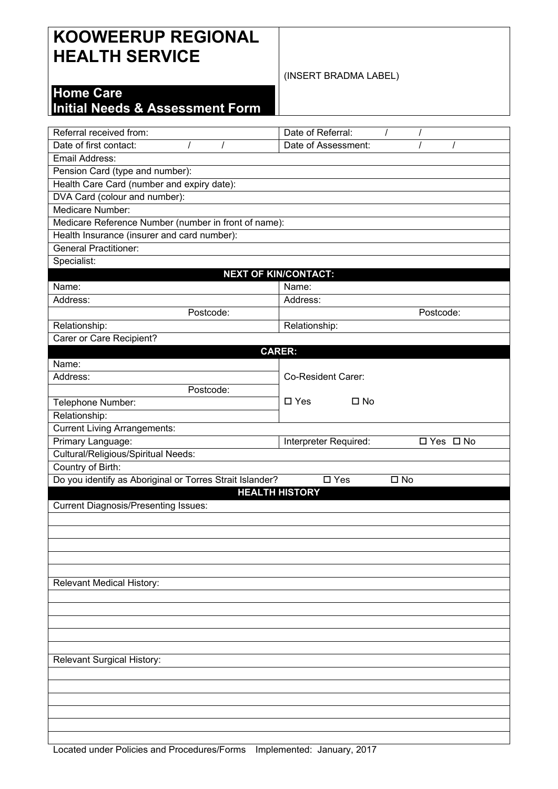## **KOOWEERUP REGIONAL HEALTH SERVICE**

## (INSERT BRADMA LABEL)

## **Home Care**

## **Initial Needs & Assessment Form**

| Referral received from:                                  | Date of Referral:             |            |  |  |  |  |
|----------------------------------------------------------|-------------------------------|------------|--|--|--|--|
| Date of first contact:                                   | Date of Assessment:           |            |  |  |  |  |
| Email Address:                                           |                               |            |  |  |  |  |
| Pension Card (type and number):                          |                               |            |  |  |  |  |
| Health Care Card (number and expiry date):               |                               |            |  |  |  |  |
| DVA Card (colour and number):                            |                               |            |  |  |  |  |
| Medicare Number:                                         |                               |            |  |  |  |  |
| Medicare Reference Number (number in front of name):     |                               |            |  |  |  |  |
| Health Insurance (insurer and card number):              |                               |            |  |  |  |  |
| <b>General Practitioner:</b>                             |                               |            |  |  |  |  |
| Specialist:                                              |                               |            |  |  |  |  |
|                                                          | <b>NEXT OF KIN/CONTACT:</b>   |            |  |  |  |  |
| Name:                                                    | Name:                         |            |  |  |  |  |
| Address:                                                 | Address:                      |            |  |  |  |  |
| Postcode:                                                |                               | Postcode:  |  |  |  |  |
| Relationship:                                            | Relationship:                 |            |  |  |  |  |
| Carer or Care Recipient?                                 |                               |            |  |  |  |  |
|                                                          | <b>CARER:</b>                 |            |  |  |  |  |
| Name:                                                    |                               |            |  |  |  |  |
| Address:                                                 | Co-Resident Carer:            |            |  |  |  |  |
| Postcode:                                                |                               |            |  |  |  |  |
| Telephone Number:                                        | $\Box$ Yes<br>$\Box$ No       |            |  |  |  |  |
| Relationship:                                            |                               |            |  |  |  |  |
| <b>Current Living Arrangements:</b>                      |                               |            |  |  |  |  |
|                                                          |                               |            |  |  |  |  |
|                                                          |                               |            |  |  |  |  |
| Primary Language:                                        | Interpreter Required:         | □ Yes □ No |  |  |  |  |
| <b>Cultural/Religious/Spiritual Needs:</b>               |                               |            |  |  |  |  |
| Country of Birth:                                        | $\square$ Yes<br>$\square$ No |            |  |  |  |  |
| Do you identify as Aboriginal or Torres Strait Islander? | <b>HEALTH HISTORY</b>         |            |  |  |  |  |
|                                                          |                               |            |  |  |  |  |
| <b>Current Diagnosis/Presenting Issues:</b>              |                               |            |  |  |  |  |
|                                                          |                               |            |  |  |  |  |
|                                                          |                               |            |  |  |  |  |
|                                                          |                               |            |  |  |  |  |
|                                                          |                               |            |  |  |  |  |
|                                                          |                               |            |  |  |  |  |
| <b>Relevant Medical History:</b>                         |                               |            |  |  |  |  |
|                                                          |                               |            |  |  |  |  |
|                                                          |                               |            |  |  |  |  |
|                                                          |                               |            |  |  |  |  |
|                                                          |                               |            |  |  |  |  |
|                                                          |                               |            |  |  |  |  |
| Relevant Surgical History:                               |                               |            |  |  |  |  |
|                                                          |                               |            |  |  |  |  |
|                                                          |                               |            |  |  |  |  |
|                                                          |                               |            |  |  |  |  |
|                                                          |                               |            |  |  |  |  |
|                                                          |                               |            |  |  |  |  |